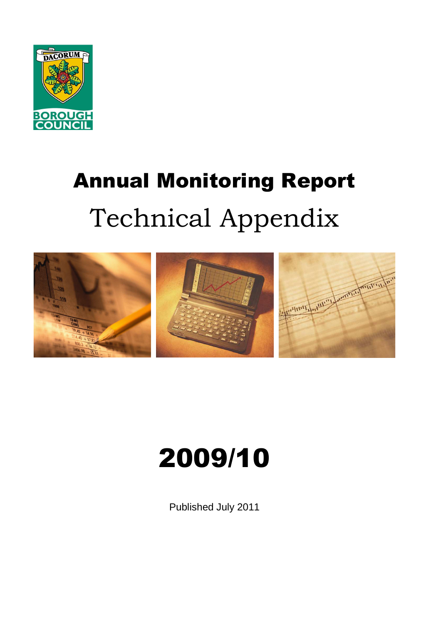

# Annual Monitoring Report Technical Appendix



# 2009/10

Published July 2011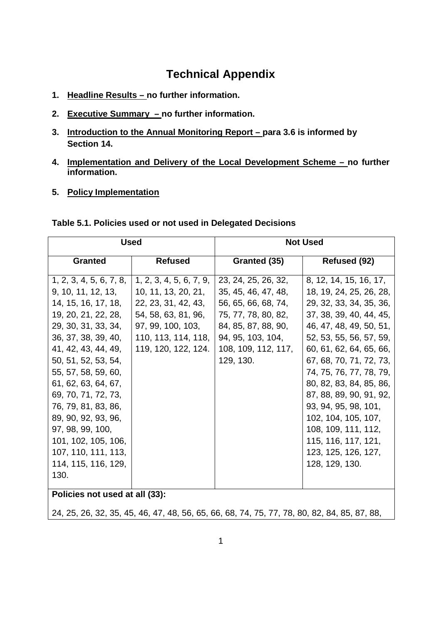# **Technical Appendix**

- **1. Headline Results no further information.**
- **2. Executive Summary no further information.**
- **3. Introduction to the Annual Monitoring Report para 3.6 is informed by Section 14.**
- **4. Implementation and Delivery of the Local Development Scheme no further information.**
- **5. Policy Implementation**

#### **Table 5.1. Policies used or not used in Delegated Decisions**

| <b>Used</b>                                                                                                                                                                                                                                                                                                |                                                                                                                                                                 | <b>Not Used</b>                                                                                                                                                          |                                                                                                                                                                                                                                                                                                                                                     |  |
|------------------------------------------------------------------------------------------------------------------------------------------------------------------------------------------------------------------------------------------------------------------------------------------------------------|-----------------------------------------------------------------------------------------------------------------------------------------------------------------|--------------------------------------------------------------------------------------------------------------------------------------------------------------------------|-----------------------------------------------------------------------------------------------------------------------------------------------------------------------------------------------------------------------------------------------------------------------------------------------------------------------------------------------------|--|
| <b>Granted</b>                                                                                                                                                                                                                                                                                             | <b>Refused</b>                                                                                                                                                  | Granted (35)                                                                                                                                                             | Refused (92)                                                                                                                                                                                                                                                                                                                                        |  |
| 1, 2, 3, 4, 5, 6, 7, 8,<br>9, 10, 11, 12, 13,<br>14, 15, 16, 17, 18,<br>19, 20, 21, 22, 28,<br>29, 30, 31, 33, 34,<br>36, 37, 38, 39, 40,<br>41, 42, 43, 44, 49,<br>50, 51, 52, 53, 54,<br>55, 57, 58, 59, 60,<br>61, 62, 63, 64, 67,<br>69, 70, 71, 72, 73,<br>76, 79, 81, 83, 86,<br>89, 90, 92, 93, 96, | 1, 2, 3, 4, 5, 6, 7, 9,<br>10, 11, 13, 20, 21,<br>22, 23, 31, 42, 43,<br>54, 58, 63, 81, 96,<br>97, 99, 100, 103,<br>110, 113, 114, 118,<br>119, 120, 122, 124. | 23, 24, 25, 26, 32,<br>35, 45, 46, 47, 48,<br>56, 65, 66, 68, 74,<br>75, 77, 78, 80, 82,<br>84, 85, 87, 88, 90,<br>94, 95, 103, 104,<br>108, 109, 112, 117,<br>129, 130. | 8, 12, 14, 15, 16, 17,<br>18, 19, 24, 25, 26, 28,<br>29, 32, 33, 34, 35, 36,<br>37, 38, 39, 40, 44, 45,<br>46, 47, 48, 49, 50, 51,<br>52, 53, 55, 56, 57, 59,<br>60, 61, 62, 64, 65, 66,<br>67, 68, 70, 71, 72, 73,<br>74, 75, 76, 77, 78, 79,<br>80, 82, 83, 84, 85, 86,<br>87, 88, 89, 90, 91, 92,<br>93, 94, 95, 98, 101,<br>102, 104, 105, 107, |  |
| 97, 98, 99, 100,<br>101, 102, 105, 106,<br>107, 110, 111, 113,                                                                                                                                                                                                                                             |                                                                                                                                                                 |                                                                                                                                                                          | 108, 109, 111, 112,<br>115, 116, 117, 121,<br>123, 125, 126, 127,                                                                                                                                                                                                                                                                                   |  |
| 114, 115, 116, 129,<br>130.                                                                                                                                                                                                                                                                                |                                                                                                                                                                 |                                                                                                                                                                          | 128, 129, 130.                                                                                                                                                                                                                                                                                                                                      |  |
| D <sub>0</sub>                                                                                                                                                                                                                                                                                             |                                                                                                                                                                 |                                                                                                                                                                          |                                                                                                                                                                                                                                                                                                                                                     |  |

**Policies not used at all (33):**

24, 25, 26, 32, 35, 45, 46, 47, 48, 56, 65, 66, 68, 74, 75, 77, 78, 80, 82, 84, 85, 87, 88,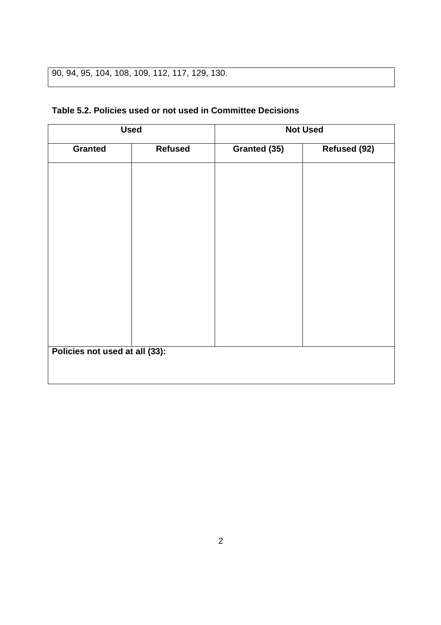# 90, 94, 95, 104, 108, 109, 112, 117, 129, 130.

### **Table 5.2. Policies used or not used in Committee Decisions**

|                                | <b>Used</b>    |              | <b>Not Used</b> |
|--------------------------------|----------------|--------------|-----------------|
| <b>Granted</b>                 | <b>Refused</b> | Granted (35) | Refused (92)    |
|                                |                |              |                 |
|                                |                |              |                 |
|                                |                |              |                 |
|                                |                |              |                 |
|                                |                |              |                 |
|                                |                |              |                 |
|                                |                |              |                 |
|                                |                |              |                 |
|                                |                |              |                 |
|                                |                |              |                 |
|                                |                |              |                 |
| Policies not used at all (33): |                |              |                 |
|                                |                |              |                 |
|                                |                |              |                 |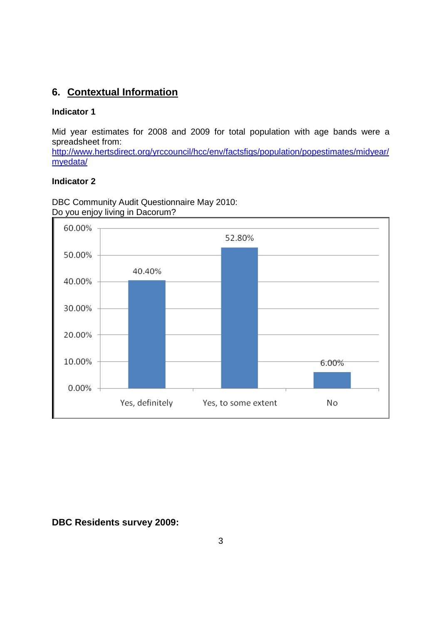## **6. Contextual Information**

#### **Indicator 1**

Mid year estimates for 2008 and 2009 for total population with age bands were a spreadsheet from:

http://www.hertsdirect.org/yrccouncil/hcc/env/factsfigs/population/popestimates/midyear/ myedata/

#### **Indicator 2**

DBC Community Audit Questionnaire May 2010: Do you enjoy living in Dacorum?



**DBC Residents survey 2009:**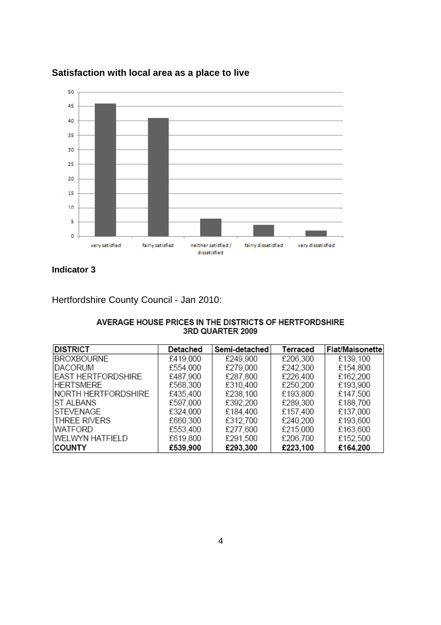

## **Satisfaction with local area as a place to live**

**Indicator 3** 

Hertfordshire County Council - Jan 2010:

| AVERAGE HOUSE PRICES IN THE DISTRICTS OF HERTFORDSHIRE |
|--------------------------------------------------------|
| <b>3RD QUARTER 2009</b>                                |

| <b>DISTRICT</b>           | Detached | Semi-detached | Terraced | Flat/Maisonette |
|---------------------------|----------|---------------|----------|-----------------|
| <b>BROXBOURNE</b>         | £419,000 | £249,900      | £206,300 | £139,100        |
| <b>IDACORUM</b>           | £554,000 | £279,000      | £242,300 | £154,800        |
| <b>EAST HERTFORDSHIRE</b> | £487,900 | £287,800      | £226,400 | £162,200        |
| <b>HERTSMERE</b>          | £568,300 | £310,400      | £250,200 | £193,900        |
| NORTH HERTFORDSHIRE       | £435,400 | £238,100      | £193,800 | £147,500        |
| <b>ST ALBANS</b>          | £597,000 | £392.200      | £289,300 | £188,700        |
| <b>STEVENAGE</b>          | £324,000 | £184.400      | £157,400 | £137,000        |
| <b>THREE RIVERS</b>       | £660,300 | £312,700      | £240,200 | £193,600        |
| <b>WATFORD</b>            | £553,400 | £277,600      | £215,000 | £163,600        |
| <b>WELWYN HATFIELD</b>    | £619,800 | £291,500      | £206,700 | £152,500        |
| <b>COUNTY</b>             | £539,900 | £293,300      | £223,100 | £164,200        |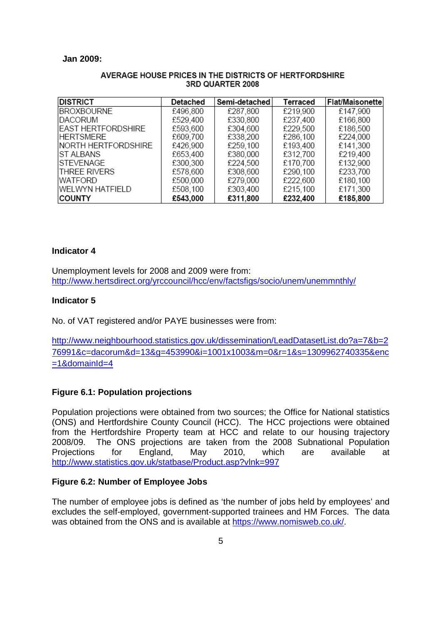#### **Jan 2009:**

| <b>DISTRICT</b>             | Detached | Semi-detached | Terraced | Flat/Maisonette |
|-----------------------------|----------|---------------|----------|-----------------|
| <b>BROXBOURNE</b>           | £496,800 | £287,800      | £219,900 | £147,900        |
| IDACORUM                    | £529,400 | £330,800      | £237,400 | £166,800        |
| <b>EAST HERTFORDSHIRE</b>   | £593.600 | £304,600      | £229,500 | £186,500        |
| <b>HERTSMERE</b>            | £609,700 | £338,200      | £286,100 | £224,000        |
| <b>INORTH HERTFORDSHIRE</b> | £426.900 | £259.100      | £193,400 | £141,300        |
| <b>IST ALBANS</b>           | £653,400 | £380.000      | £312.700 | £219,400        |
| ISTEVENAGE                  | £300.300 | £224.500      | £170,700 | £132,900        |
| ITHREE RIVERS               | £578,600 | £308,600      | £290,100 | £233,700        |
| <b>WATFORD</b>              | £500,000 | £279,000      | £222,600 | £180,100        |
| WELWYN HATFIELD             | £508,100 | £303,400      | £215,100 | £171,300        |
| <b>COUNTY</b>               | £543,000 | £311,800      | £232,400 | £185,800        |

#### AVERAGE HOUSE PRICES IN THE DISTRICTS OF HERTFORDSHIRE 3RD QUARTER 2008

#### **Indicator 4**

Unemployment levels for 2008 and 2009 were from: http://www.hertsdirect.org/yrccouncil/hcc/env/factsfigs/socio/unem/unemmnthly/

#### **Indicator 5**

No. of VAT registered and/or PAYE businesses were from:

http://www.neighbourhood.statistics.gov.uk/dissemination/LeadDatasetList.do?a=7&b=2 76991&c=dacorum&d=13&g=453990&i=1001x1003&m=0&r=1&s=1309962740335&enc  $=1$ &domainId $=4$ 

#### **Figure 6.1: Population projections**

Population projections were obtained from two sources; the Office for National statistics (ONS) and Hertfordshire County Council (HCC). The HCC projections were obtained from the Hertfordshire Property team at HCC and relate to our housing trajectory 2008/09. The ONS projections are taken from the 2008 Subnational Population Projections for England, May 2010, which are available at http://www.statistics.gov.uk/statbase/Product.asp?vlnk=997

#### **Figure 6.2: Number of Employee Jobs**

The number of employee jobs is defined as 'the number of jobs held by employees' and excludes the self-employed, government-supported trainees and HM Forces. The data was obtained from the ONS and is available at https://www.nomisweb.co.uk/.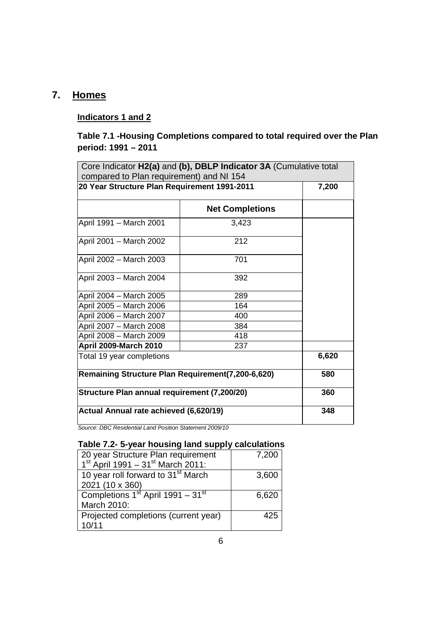# **7. Homes**

#### **Indicators 1 and 2**

## **Table 7.1 -Housing Completions compared to total required over the Plan period: 1991 – 2011**

| compared to Plan requirement) and NI 154                 | Core Indicator H2(a) and (b), DBLP Indicator 3A (Cumulative total |       |
|----------------------------------------------------------|-------------------------------------------------------------------|-------|
| 20 Year Structure Plan Requirement 1991-2011             |                                                                   | 7,200 |
|                                                          | <b>Net Completions</b>                                            |       |
| April 1991 - March 2001                                  | 3,423                                                             |       |
| April 2001 - March 2002                                  | 212                                                               |       |
| April 2002 - March 2003                                  | 701                                                               |       |
| April 2003 - March 2004                                  | 392                                                               |       |
| April 2004 - March 2005                                  | 289                                                               |       |
| April 2005 - March 2006                                  | 164                                                               |       |
| April 2006 - March 2007                                  | 400                                                               |       |
| April 2007 - March 2008                                  | 384                                                               |       |
| April 2008 - March 2009                                  | 418                                                               |       |
| <b>April 2009-March 2010</b>                             | 237                                                               |       |
| Total 19 year completions                                | 6,620                                                             |       |
| <b>Remaining Structure Plan Requirement(7,200-6,620)</b> | 580                                                               |       |
| Structure Plan annual requirement (7,200/20)             | 360                                                               |       |
| Actual Annual rate achieved (6,620/19)                   | 348                                                               |       |

Source: DBC Residential Land Position Statement 2009/10

#### **Table 7.2- 5-year housing land supply calculations**

| 20 year Structure Plan requirement              | 7,200 |
|-------------------------------------------------|-------|
| $1st$ April 1991 – 31 <sup>st</sup> March 2011: |       |
| 10 year roll forward to 31 <sup>st</sup> March  | 3,600 |
| 2021 (10 x 360)                                 |       |
| Completions $1st$ April 1991 – 31 <sup>st</sup> | 6,620 |
| March 2010:                                     |       |
| Projected completions (current year)            | 425   |
| 10/11                                           |       |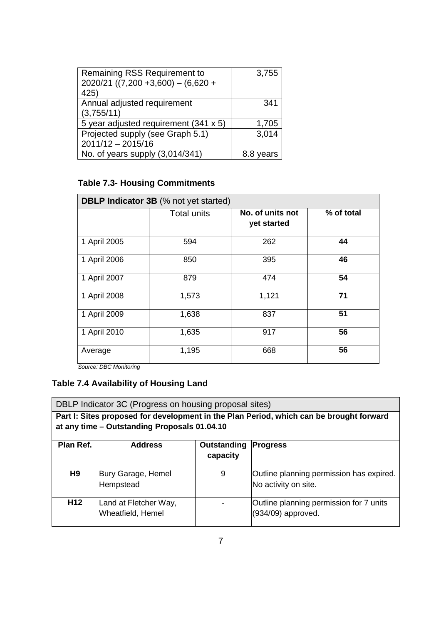| Remaining RSS Requirement to<br>$2020/21$ ((7,200 +3,600) - (6,620 +<br>425) | 3,755      |
|------------------------------------------------------------------------------|------------|
| Annual adjusted requirement<br>(3,755/11)                                    | 341        |
| 5 year adjusted requirement (341 x 5)                                        | 1,705      |
| Projected supply (see Graph 5.1)<br>$2011/12 - 2015/16$                      | 3,014      |
| No. of years supply (3,014/341)                                              | ears<br>8. |

## **Table 7.3- Housing Commitments**

| <b>DBLP Indicator 3B</b> (% not yet started) |                    |                                 |            |  |
|----------------------------------------------|--------------------|---------------------------------|------------|--|
|                                              | <b>Total units</b> | No. of units not<br>yet started | % of total |  |
| 1 April 2005                                 | 594                | 262                             | 44         |  |
| 1 April 2006                                 | 850                | 395                             | 46         |  |
| 1 April 2007                                 | 879                | 474                             | 54         |  |
| 1 April 2008                                 | 1,573              | 1,121                           | 71         |  |
| 1 April 2009                                 | 1,638              | 837                             | 51         |  |
| 1 April 2010                                 | 1,635              | 917                             | 56         |  |
| Average                                      | 1,195              | 668                             | 56         |  |

Source: DBC Monitoring

# **Table 7.4 Availability of Housing Land**

|                                                                                                                                         | DBLP Indicator 3C (Progress on housing proposal sites) |                         |                                                                  |  |
|-----------------------------------------------------------------------------------------------------------------------------------------|--------------------------------------------------------|-------------------------|------------------------------------------------------------------|--|
| Part I: Sites proposed for development in the Plan Period, which can be brought forward<br>at any time - Outstanding Proposals 01.04.10 |                                                        |                         |                                                                  |  |
| Plan Ref.                                                                                                                               | <b>Address</b>                                         | Outstanding<br>capacity | <b>Progress</b>                                                  |  |
| H <sub>9</sub>                                                                                                                          | Bury Garage, Hemel<br>Hempstead                        | 9                       | Outline planning permission has expired.<br>No activity on site. |  |
| H <sub>12</sub>                                                                                                                         | Land at Fletcher Way,<br>Wheatfield, Hemel             |                         | Outline planning permission for 7 units<br>(934/09) approved.    |  |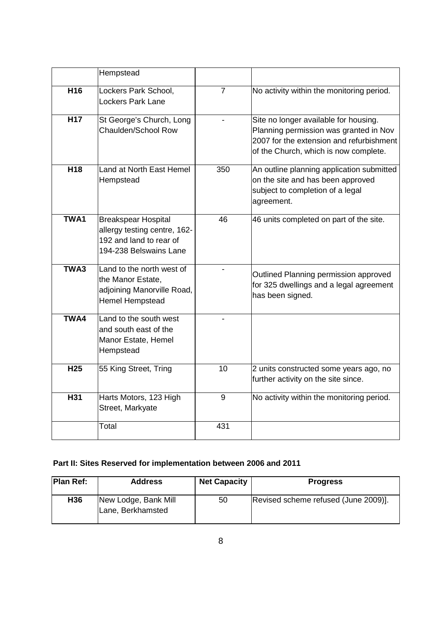|                 | Hempstead                                                                                                       |                |                                                                                                                                                                      |
|-----------------|-----------------------------------------------------------------------------------------------------------------|----------------|----------------------------------------------------------------------------------------------------------------------------------------------------------------------|
| H16             | Lockers Park School,<br><b>Lockers Park Lane</b>                                                                | $\overline{7}$ | No activity within the monitoring period.                                                                                                                            |
| <b>H17</b>      | St George's Church, Long<br>Chaulden/School Row                                                                 |                | Site no longer available for housing.<br>Planning permission was granted in Nov<br>2007 for the extension and refurbishment<br>of the Church, which is now complete. |
| H <sub>18</sub> | Land at North East Hemel<br>Hempstead                                                                           | 350            | An outline planning application submitted<br>on the site and has been approved<br>subject to completion of a legal<br>agreement.                                     |
| TWA1            | <b>Breakspear Hospital</b><br>allergy testing centre, 162-<br>192 and land to rear of<br>194-238 Belswains Lane | 46             | 46 units completed on part of the site.                                                                                                                              |
| TWA3            | Land to the north west of<br>the Manor Estate,<br>adjoining Manorville Road,<br><b>Hemel Hempstead</b>          |                | Outlined Planning permission approved<br>for 325 dwellings and a legal agreement<br>has been signed.                                                                 |
| TWA4            | Land to the south west<br>and south east of the<br>Manor Estate, Hemel<br>Hempstead                             |                |                                                                                                                                                                      |
| H <sub>25</sub> | 55 King Street, Tring                                                                                           | 10             | 2 units constructed some years ago, no<br>further activity on the site since.                                                                                        |
| H31             | Harts Motors, 123 High<br>Street, Markyate                                                                      | 9              | No activity within the monitoring period.                                                                                                                            |
|                 | Total                                                                                                           | 431            |                                                                                                                                                                      |

## **Part II: Sites Reserved for implementation between 2006 and 2011**

| <b>Plan Ref:</b> | <b>Address</b>                            | <b>Net Capacity</b> | <b>Progress</b>                      |
|------------------|-------------------------------------------|---------------------|--------------------------------------|
| H <sub>36</sub>  | New Lodge, Bank Mill<br>Lane, Berkhamsted | 50                  | Revised scheme refused (June 2009)]. |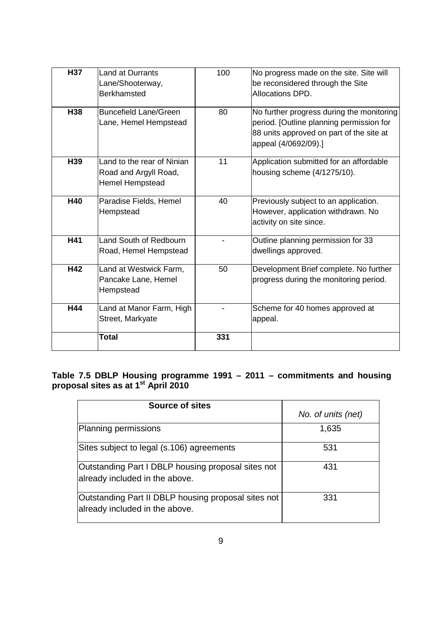| <b>H37</b> | <b>Land at Durrants</b><br>Lane/Shooterway,<br><b>Berkhamsted</b>             | 100 | No progress made on the site. Site will<br>be reconsidered through the Site<br>Allocations DPD.                                                           |
|------------|-------------------------------------------------------------------------------|-----|-----------------------------------------------------------------------------------------------------------------------------------------------------------|
| H38        | <b>Buncefield Lane/Green</b><br>Lane, Hemel Hempstead                         | 80  | No further progress during the monitoring<br>period. [Outline planning permission for<br>88 units approved on part of the site at<br>appeal (4/0692/09).] |
| H39        | Land to the rear of Ninian<br>Road and Argyll Road,<br><b>Hemel Hempstead</b> | 11  | Application submitted for an affordable<br>housing scheme (4/1275/10).                                                                                    |
| <b>H40</b> | Paradise Fields, Hemel<br>Hempstead                                           | 40  | Previously subject to an application.<br>However, application withdrawn. No<br>activity on site since.                                                    |
| H41        | Land South of Redbourn<br>Road, Hemel Hempstead                               |     | Outline planning permission for 33<br>dwellings approved.                                                                                                 |
| H42        | Land at Westwick Farm,<br>Pancake Lane, Hemel<br>Hempstead                    | 50  | Development Brief complete. No further<br>progress during the monitoring period.                                                                          |
| H44        | Land at Manor Farm, High<br>Street, Markyate                                  |     | Scheme for 40 homes approved at<br>appeal.                                                                                                                |
|            | <b>Total</b>                                                                  | 331 |                                                                                                                                                           |

#### **Table 7.5 DBLP Housing programme 1991 – 2011 – commitments and housing proposal sites as at 1st April 2010**

| <b>Source of sites</b>                                                                | No. of units (net) |
|---------------------------------------------------------------------------------------|--------------------|
| Planning permissions                                                                  | 1,635              |
| Sites subject to legal (s.106) agreements                                             | 531                |
| Outstanding Part I DBLP housing proposal sites not<br>already included in the above.  | 431                |
| Outstanding Part II DBLP housing proposal sites not<br>already included in the above. | 331                |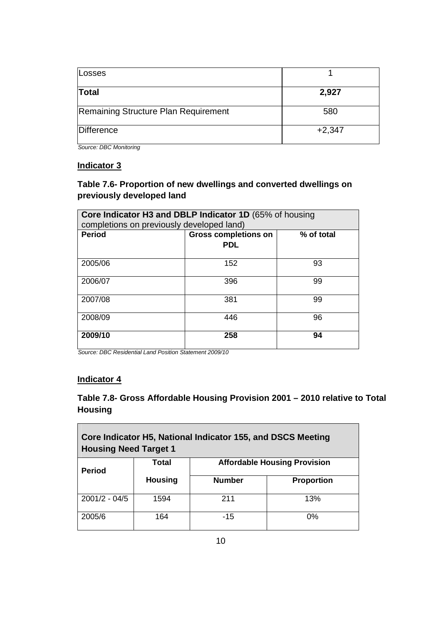| Losses                               |          |
|--------------------------------------|----------|
| <b>Total</b>                         | 2,927    |
| Remaining Structure Plan Requirement | 580      |
| Difference                           | $+2,347$ |

Source: DBC Monitoring

#### **Indicator 3**

## **Table 7.6- Proportion of new dwellings and converted dwellings on previously developed land**

| Core Indicator H3 and DBLP Indicator 1D (65% of housing<br>completions on previously developed land) |                                           |            |  |  |
|------------------------------------------------------------------------------------------------------|-------------------------------------------|------------|--|--|
| <b>Period</b>                                                                                        | <b>Gross completions on</b><br><b>PDL</b> | % of total |  |  |
| 2005/06                                                                                              | 152                                       | 93         |  |  |
| 2006/07                                                                                              | 396                                       | 99         |  |  |
| 2007/08                                                                                              | 381                                       | 99         |  |  |
| 2008/09                                                                                              | 446                                       | 96         |  |  |
| 2009/10                                                                                              | 258                                       | 94         |  |  |

Source: DBC Residential Land Position Statement 2009/10

#### **Indicator 4**

## **Table 7.8- Gross Affordable Housing Provision 2001 – 2010 relative to Total Housing**

| Core Indicator H5, National Indicator 155, and DSCS Meeting<br><b>Housing Need Target 1</b> |                |                                     |                   |  |  |
|---------------------------------------------------------------------------------------------|----------------|-------------------------------------|-------------------|--|--|
| <b>Period</b>                                                                               | <b>Total</b>   | <b>Affordable Housing Provision</b> |                   |  |  |
|                                                                                             | <b>Housing</b> | <b>Number</b>                       | <b>Proportion</b> |  |  |
| $2001/2 - 04/5$                                                                             | 1594           | 211                                 | 13%               |  |  |
| 2005/6                                                                                      | 164            | $-15$                               | $0\%$             |  |  |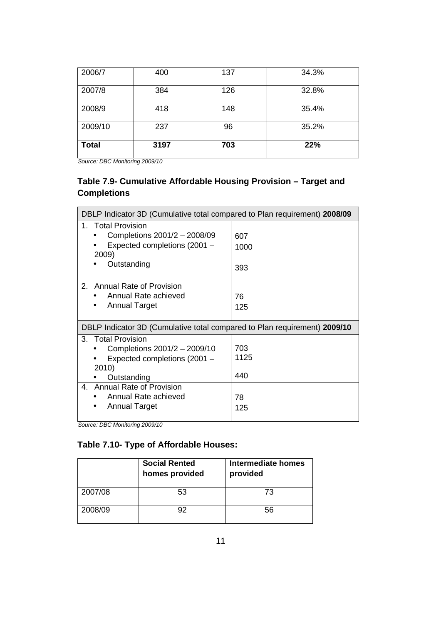| 2006/7       | 400  | 137 | 34.3% |
|--------------|------|-----|-------|
| 2007/8       | 384  | 126 | 32.8% |
| 2008/9       | 418  | 148 | 35.4% |
| 2009/10      | 237  | 96  | 35.2% |
| <b>Total</b> | 3197 | 703 | 22%   |

Source: DBC Monitoring 2009/10

#### **Table 7.9- Cumulative Affordable Housing Provision – Target and Completions**

| DBLP Indicator 3D (Cumulative total compared to Plan requirement) 2008/09                                                                                                                           |                                 |
|-----------------------------------------------------------------------------------------------------------------------------------------------------------------------------------------------------|---------------------------------|
| 1. Total Provision<br>Completions 2001/2 - 2008/09<br>Expected completions (2001 -<br>2009)<br>Outstanding                                                                                          | 607<br>1000<br>393              |
| 2. Annual Rate of Provision<br>Annual Rate achieved<br><b>Annual Target</b>                                                                                                                         | 76<br>125                       |
| DBLP Indicator 3D (Cumulative total compared to Plan requirement) 2009/10                                                                                                                           |                                 |
| 3. Total Provision<br>Completions 2001/2 - 2009/10<br>Expected completions (2001 -<br>2010)<br>Outstanding<br><b>Annual Rate of Provision</b><br>4.<br>Annual Rate achieved<br><b>Annual Target</b> | 703<br>1125<br>440<br>78<br>125 |

Source: DBC Monitoring 2009/10

## **Table 7.10- Type of Affordable Houses:**

|         | <b>Social Rented</b><br>homes provided | Intermediate homes<br>provided |
|---------|----------------------------------------|--------------------------------|
| 2007/08 | 53                                     | 73                             |
| 2008/09 |                                        | 56                             |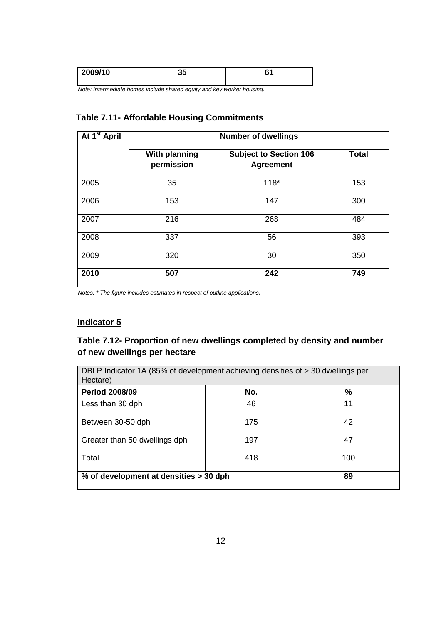| 2009/10 | ^ -<br>JJ | ~~<br>v. |
|---------|-----------|----------|
|         |           |          |

Note: Intermediate homes include shared equity and key worker housing.

#### **Table 7.11- Affordable Housing Commitments**

| At 1 <sup>st</sup> April | <b>Number of dwellings</b>         |                                                   |              |
|--------------------------|------------------------------------|---------------------------------------------------|--------------|
|                          | <b>With planning</b><br>permission | <b>Subject to Section 106</b><br><b>Agreement</b> | <b>Total</b> |
| 2005                     | 35                                 | $118*$                                            | 153          |
| 2006                     | 153                                | 147                                               | 300          |
| 2007                     | 216                                | 268                                               | 484          |
| 2008                     | 337                                | 56                                                | 393          |
| 2009                     | 320                                | 30                                                | 350          |
| 2010                     | 507                                | 242                                               | 749          |

Notes: \* The figure includes estimates in respect of outline applications.

## **Indicator 5**

#### **Table 7.12- Proportion of new dwellings completed by density and number of new dwellings per hectare**

| DBLP Indicator 1A (85% of development achieving densities of > 30 dwellings per<br>Hectare) |     |    |  |  |
|---------------------------------------------------------------------------------------------|-----|----|--|--|
| <b>Period 2008/09</b>                                                                       | No. | ℅  |  |  |
| Less than 30 dph                                                                            | 46  | 11 |  |  |
| Between 30-50 dph                                                                           | 175 | 42 |  |  |
| Greater than 50 dwellings dph                                                               | 197 | 47 |  |  |
| Total<br>418<br>100                                                                         |     |    |  |  |
| % of development at densities > 30 dph                                                      |     | 89 |  |  |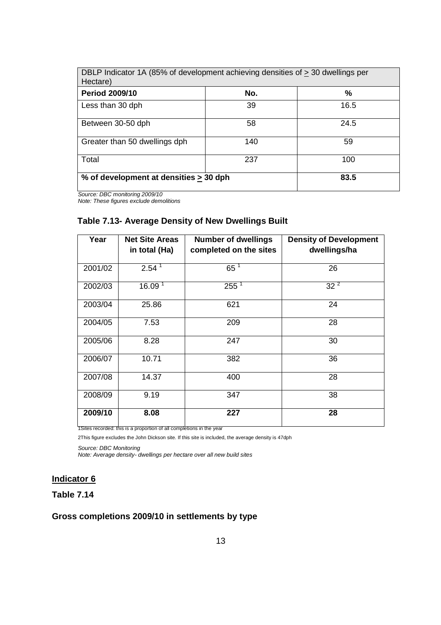| DBLP Indicator 1A (85% of development achieving densities of > 30 dwellings per<br>Hectare) |     |      |  |  |
|---------------------------------------------------------------------------------------------|-----|------|--|--|
| <b>Period 2009/10</b>                                                                       | No. | ℅    |  |  |
| Less than 30 dph                                                                            | 39  | 16.5 |  |  |
| Between 30-50 dph                                                                           | 58  | 24.5 |  |  |
| Greater than 50 dwellings dph                                                               | 140 | 59   |  |  |
| Total<br>237<br>100                                                                         |     |      |  |  |
| % of development at densities $\geq$ 30 dph                                                 |     | 83.5 |  |  |

Source: DBC monitoring 2009/10

Note: These figures exclude demolitions

## **Table 7.13- Average Density of New Dwellings Built**

| Year    | <b>Net Site Areas</b><br>in total (Ha) | <b>Number of dwellings</b><br>completed on the sites | <b>Density of Development</b><br>dwellings/ha |
|---------|----------------------------------------|------------------------------------------------------|-----------------------------------------------|
| 2001/02 | $2.54^{1}$                             | $65^1$                                               | 26                                            |
| 2002/03 | 16.09 <sup>1</sup>                     | $255^1$                                              | $32^2$                                        |
| 2003/04 | 25.86                                  | 621                                                  | 24                                            |
| 2004/05 | 7.53                                   | 209                                                  | 28                                            |
| 2005/06 | 8.28                                   | 247                                                  | 30                                            |
| 2006/07 | 10.71                                  | 382                                                  | 36                                            |
| 2007/08 | 14.37                                  | 400                                                  | 28                                            |
| 2008/09 | 9.19                                   | 347                                                  | 38                                            |
| 2009/10 | 8.08                                   | 227                                                  | 28                                            |

1Sites recorded: this is a proportion of all completions in the year

2This figure excludes the John Dickson site. If this site is included, the average density is 47dph

Source: DBC Monitoring

Note: Average density- dwellings per hectare over all new build sites

#### **Indicator 6**

#### **Table 7.14**

#### **Gross completions 2009/10 in settlements by type**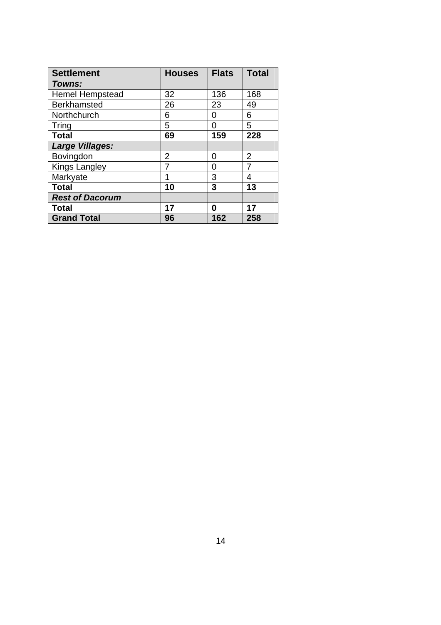| <b>Settlement</b>      | <b>Houses</b> | <b>Flats</b> | <b>Total</b> |
|------------------------|---------------|--------------|--------------|
| Towns:                 |               |              |              |
| <b>Hemel Hempstead</b> | 32            | 136          | 168          |
| <b>Berkhamsted</b>     | 26            | 23           | 49           |
| Northchurch            | 6             | O            | 6            |
| Tring                  | 5             | 0            | 5            |
| <b>Total</b>           | 69            | 159          | 228          |
| <b>Large Villages:</b> |               |              |              |
| Bovingdon              | 2             | 0            | 2            |
| <b>Kings Langley</b>   |               | 0            |              |
| Markyate               | 1             | 3            | 4            |
| <b>Total</b>           | 10            | 3            | 13           |
| <b>Rest of Dacorum</b> |               |              |              |
| <b>Total</b>           | 17            | 0            | 17           |
| <b>Grand Total</b>     | 96            | 162          | 258          |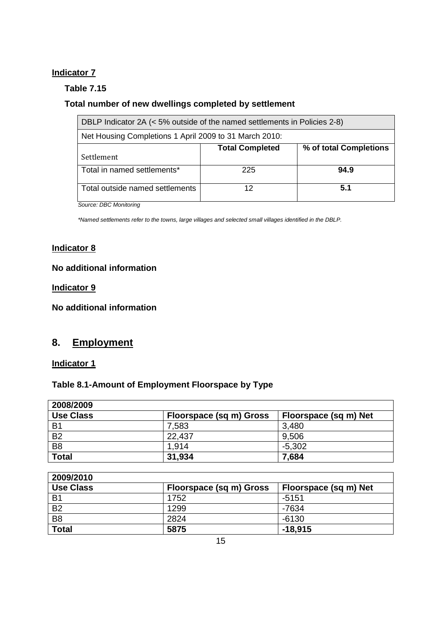#### **Indicator 7**

#### **Table 7.15**

## **Total number of new dwellings completed by settlement**

| DBLP Indicator 2A (< 5% outside of the named settlements in Policies 2-8) |                        |                        |
|---------------------------------------------------------------------------|------------------------|------------------------|
| Net Housing Completions 1 April 2009 to 31 March 2010:                    |                        |                        |
|                                                                           | <b>Total Completed</b> | % of total Completions |
| Settlement                                                                |                        |                        |
| Total in named settlements*                                               | 225                    | 94.9                   |
| Total outside named settlements                                           | 12                     | 5.1                    |

Source: DBC Monitoring

\*Named settlements refer to the towns, large villages and selected small villages identified in the DBLP.

#### **Indicator 8**

#### **No additional information**

#### **Indicator 9**

**No additional information** 

## **8. Employment**

**Indicator 1** 

#### **Table 8.1-Amount of Employment Floorspace by Type**

| 2008/2009        |                         |                       |
|------------------|-------------------------|-----------------------|
| <b>Use Class</b> | Floorspace (sq m) Gross | Floorspace (sq m) Net |
| B <sub>1</sub>   | 7,583                   | 3,480                 |
| <b>B2</b>        | 22,437                  | 9,506                 |
| B <sub>8</sub>   | 1.914                   | $-5,302$              |
| <b>Total</b>     | 31,934                  | 7,684                 |

| 2009/2010        |                         |                       |
|------------------|-------------------------|-----------------------|
| <b>Use Class</b> | Floorspace (sq m) Gross | Floorspace (sq m) Net |
| <b>B1</b>        | 1752                    | $-5151$               |
| <b>B2</b>        | 1299                    | -7634                 |
| B <sub>8</sub>   | 2824                    | $-6130$               |
| <b>Total</b>     | 5875                    | $-18,915$             |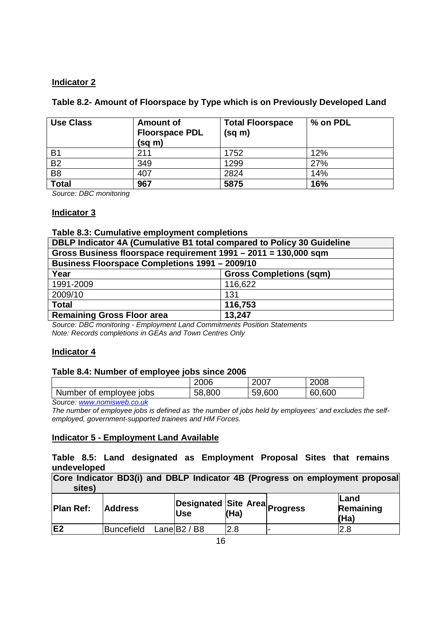#### **Indicator 2**

#### **Table 8.2- Amount of Floorspace by Type which is on Previously Developed Land**

| <b>Use Class</b> | <b>Amount of</b><br><b>Floorspace PDL</b><br>(sq m) | <b>Total Floorspace</b><br>(sq m) | % on PDL |
|------------------|-----------------------------------------------------|-----------------------------------|----------|
| B <sub>1</sub>   | 211                                                 | 1752                              | 12%      |
| <b>B2</b>        | 349                                                 | 1299                              | 27%      |
| B <sub>8</sub>   | 407                                                 | 2824                              | 14%      |
| <b>Total</b>     | 967                                                 | 5875                              | 16%      |

Source: DBC monitoring

#### **Indicator 3**

#### **Table 8.3: Cumulative employment completions**

| DBLP Indicator 4A (Cumulative B1 total compared to Policy 30 Guideline |                                |
|------------------------------------------------------------------------|--------------------------------|
| Gross Business floorspace requirement 1991 - 2011 = 130,000 sqm        |                                |
| <b>Business Floorspace Completions 1991 - 2009/10</b>                  |                                |
| Year                                                                   | <b>Gross Completions (sqm)</b> |
| 1991-2009                                                              | 116,622                        |
| 2009/10                                                                | 131                            |
| <b>Total</b>                                                           | 116,753                        |
| <b>Remaining Gross Floor area</b>                                      | 13,247                         |

Source: DBC monitoring - Employment Land Commitments Position Statements Note: Records completions in GEAs and Town Centres Only

#### **Indicator 4**

#### **Table 8.4: Number of employee jobs since 2006**

|                         | 2006   | 2007   | 2008   |
|-------------------------|--------|--------|--------|
| Number of employee jobs | 58,800 | 59,600 | 60,600 |

Source: www.nomisweb.co.uk

The number of employee jobs is defined as 'the number of jobs held by employees' and excludes the selfemployed, government-supported trainees and HM Forces.

#### **Indicator 5 - Employment Land Available**

#### **Table 8.5: Land designated as Employment Proposal Sites that remains undeveloped**

| Core Indicator BD3(i) and DBLP Indicator 4B (Progress on employment proposal |  |  |  |  |
|------------------------------------------------------------------------------|--|--|--|--|
| sites)                                                                       |  |  |  |  |

| <b>Plan Ref:</b> | <b>Address</b>          | <b>Use</b> | (Ha) | <b>Designated Site Area</b> Progress | lLand<br>Remaining<br>(Ha) |
|------------------|-------------------------|------------|------|--------------------------------------|----------------------------|
| E <sub>2</sub>   | Buncefield Lane B2 / B8 |            | 2.8  |                                      | 2.8                        |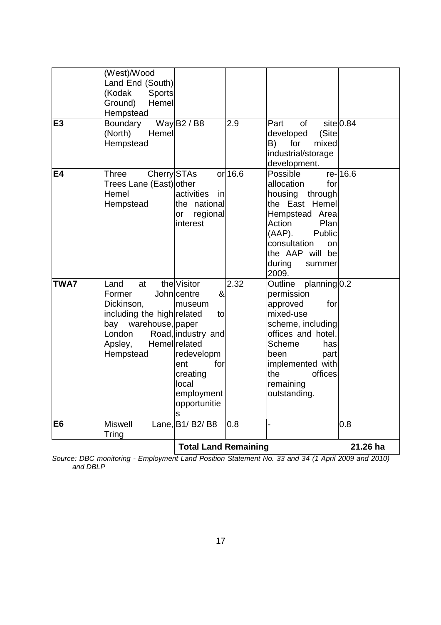|                | Source: DBC monitoring - Employment Land Position Statement No. 33 and 34 (1 April 2009 and 2010)                          |                                                                                                                                                                            |           |                                                                                                                                                                                                                          |             |
|----------------|----------------------------------------------------------------------------------------------------------------------------|----------------------------------------------------------------------------------------------------------------------------------------------------------------------------|-----------|--------------------------------------------------------------------------------------------------------------------------------------------------------------------------------------------------------------------------|-------------|
|                |                                                                                                                            | <b>Total Land Remaining</b>                                                                                                                                                |           |                                                                                                                                                                                                                          | 21.26 ha    |
| E <sub>6</sub> | <b>Miswell</b><br>Tring                                                                                                    | Lane, B1/ B2/ B8                                                                                                                                                           | 0.8       |                                                                                                                                                                                                                          | 0.8         |
| <b>TWA7</b>    | Land<br>at<br>Former<br>Dickinson,<br>including the high related<br>bay warehouse, paper<br>London<br>Apsley,<br>Hempstead | the Visitor<br>&<br>John centre<br>museum<br>to<br>Road, industry and<br>Hemel related<br>redevelopm<br>ent<br>for<br>creating<br>local<br>employment<br>opportunitie<br>s | 2.32      | Outline planning 0.2<br>permission<br>for<br>approved<br>mixed-use<br>scheme, including<br>offices and hotel.<br><b>Scheme</b><br>has<br>been<br>part<br>implemented with<br>the<br>offices<br>remaining<br>outstanding. |             |
| <b>E4</b>      | Cherry STAs<br>Three<br>Trees Lane (East) other<br>Hemel<br>Hempstead                                                      | activities<br>in<br>the national<br>regional<br>or<br>interest                                                                                                             | $or$ 16.6 | Possible<br>allocation<br>for<br>housing<br>through<br>the East Hemel<br>Hempstead Area<br>Action<br>Plan<br>$(AAP)$ .<br>Public<br>consultation<br>on<br>the AAP will be<br>during<br>summer<br>2009.                   | re-16.6     |
| E3             | Ground)<br>Hemel<br>Hempstead<br>Boundary<br>Hemel<br>(North)<br>Hempstead                                                 | Way $B2 / B8$                                                                                                                                                              | 2.9       | $\circ$ f<br>Part<br>(Site<br>developed<br>B)<br>for<br>mixed<br>industrial/storage<br>development.                                                                                                                      | $site$ 0.84 |
|                | (West)/Wood<br>Land End (South)<br>(Kodak<br><b>Sports</b>                                                                 |                                                                                                                                                                            |           |                                                                                                                                                                                                                          |             |

Source: DBC monitoring - Employment Land Position Statement No. 33 and 34 (1 April 2009 and 2010) and DBLP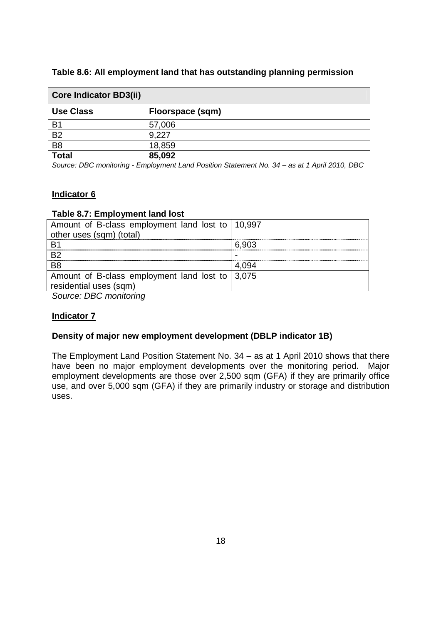| Table 8.6: All employment land that has outstanding planning permission |
|-------------------------------------------------------------------------|
|-------------------------------------------------------------------------|

| <b>Core Indicator BD3(ii)</b> |                  |  |  |  |
|-------------------------------|------------------|--|--|--|
| <b>Use Class</b>              | Floorspace (sqm) |  |  |  |
| <b>B1</b>                     | 57,006           |  |  |  |
| <b>B2</b>                     | 9,227            |  |  |  |
| B <sub>8</sub>                | 18,859           |  |  |  |
| <b>Total</b>                  | 85,092           |  |  |  |

Source: DBC monitoring - Employment Land Position Statement No. 34 – as at 1 April 2010, DBC

#### **Indicator 6**

#### **Table 8.7: Employment land lost**

| Amount of B-class employment land lost to   10,997              |       |
|-----------------------------------------------------------------|-------|
| other uses (sqm) (total)                                        |       |
|                                                                 | 6.903 |
| -R2                                                             |       |
| - R8                                                            |       |
| Amount of B-class employment land lost to $\vert 3,075 \rangle$ |       |
| residential uses (sqm)                                          |       |
|                                                                 |       |

Source: DBC monitoring

#### **Indicator 7**

#### **Density of major new employment development (DBLP indicator 1B)**

The Employment Land Position Statement No. 34 – as at 1 April 2010 shows that there have been no major employment developments over the monitoring period. Major employment developments are those over 2,500 sqm (GFA) if they are primarily office use, and over 5,000 sqm (GFA) if they are primarily industry or storage and distribution uses.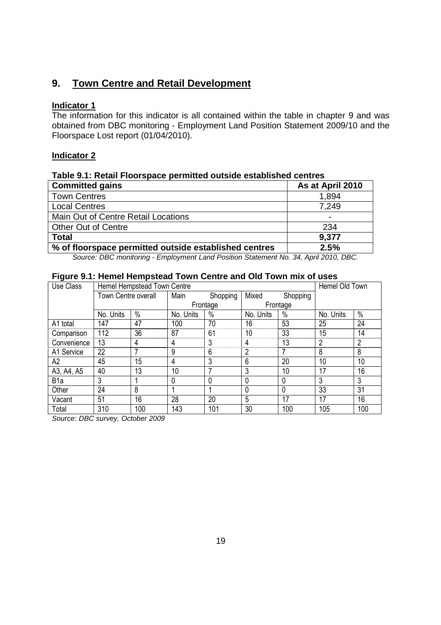## **9. Town Centre and Retail Development**

#### **Indicator 1**

The information for this indicator is all contained within the table in chapter 9 and was obtained from DBC monitoring - Employment Land Position Statement 2009/10 and the Floorspace Lost report (01/04/2010).

#### **Indicator 2**

#### **Table 9.1: Retail Floorspace permitted outside established centres**

| <b>Committed gains</b>                                | As at April 2010 |
|-------------------------------------------------------|------------------|
| <b>Town Centres</b>                                   | 1,894            |
| <b>Local Centres</b>                                  | 7.249            |
| Main Out of Centre Retail Locations                   | $\blacksquare$   |
| <b>Other Out of Centre</b>                            | 234              |
| <b>Total</b>                                          | 9,377            |
| % of floorspace permitted outside established centres | 2.5%             |

Source: DBC monitoring - Employment Land Position Statement No. 34, April 2010, DBC.

#### **Figure 9.1: Hemel Hempstead Town Centre and Old Town mix of uses**

| Use Class        | Hemel Hempstead Town Centre |      |           |          |           |          | Hemel Old Town |               |
|------------------|-----------------------------|------|-----------|----------|-----------|----------|----------------|---------------|
|                  | Town Centre overall         |      | Main      | Shopping | Mixed     | Shopping |                |               |
|                  |                             |      | Frontage  |          | Frontage  |          |                |               |
|                  | No. Units                   | $\%$ | No. Units | $\%$     | No. Units | $\%$     | No. Units      | $\frac{0}{0}$ |
| A1 total         | 147                         | 47   | 100       | 70       | 16        | 53       | 25             | 24            |
| Comparison       | 112                         | 36   | 87        | 61       | 10        | 33       | 15             | 14            |
| Convenience      | 13                          | 4    | 4         | 3        | 4         | 13       | 2              | 2             |
| A1 Service       | 22                          |      | 9         | 6        |           |          | 8              | 8             |
| А2               | 45                          | 15   | 4         | 3        | 6         | 20       | 10             | 10            |
| A3, A4, A5       | 40                          | 13   | 10        |          | 3         | 10       | 17             | 16            |
| B <sub>1</sub> a | 3                           |      | 0         | 0        | 0         | 0        | 3              | 3             |
| Other            | 24                          | 8    |           |          | $\Omega$  |          | 33             | 31            |
| Vacant           | 51                          | 16   | 28        | 20       | 5         | 17       | 17             | 16            |
| Total            | 310                         | 100  | 143       | 101      | 30        | 100      | 105            | 100           |

Source: DBC survey, October 2009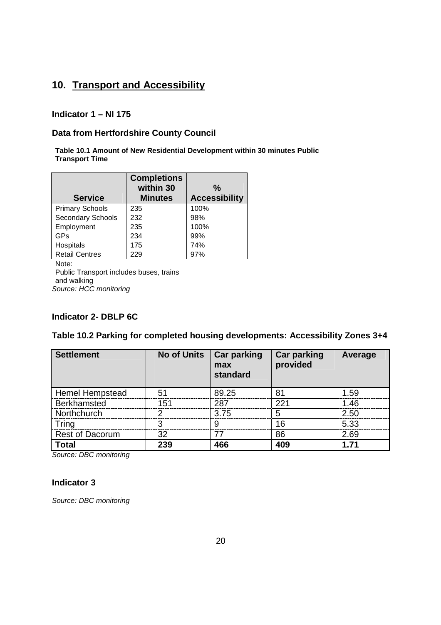## **10. Transport and Accessibility**

#### **Indicator 1 – NI 175**

#### **Data from Hertfordshire County Council**

**Table 10.1 Amount of New Residential Development within 30 minutes Public Transport Time** 

|                        | <b>Completions</b><br>within 30 | $\frac{0}{0}$        |
|------------------------|---------------------------------|----------------------|
| <b>Service</b>         | <b>Minutes</b>                  | <b>Accessibility</b> |
| <b>Primary Schools</b> | 235                             | 100%                 |
| Secondary Schools      | 232                             | 98%                  |
| Employment             | 235                             | 100%                 |
| GPs                    | 234                             | 99%                  |
| Hospitals              | 175                             | 74%                  |
| <b>Retail Centres</b>  | 229                             | 97%                  |
| Note:                  |                                 |                      |

Public Transport includes buses, trains and walking Source: HCC monitoring

#### **Indicator 2- DBLP 6C**

#### **Table 10.2 Parking for completed housing developments: Accessibility Zones 3+4**

| <b>Settlement</b>      | <b>No of Units</b> | <b>Car parking</b><br>max<br>standard | <b>Car parking</b><br>provided | Average |
|------------------------|--------------------|---------------------------------------|--------------------------------|---------|
| <b>Hemel Hempstead</b> | 51                 | 89.25                                 | 81                             | 1.59    |
| Berkhamsted            | 151                | 287                                   | 221                            | 1.46    |
| Northchurch            | っ                  | 3.75                                  | 5                              | 2.50    |
| Tring                  | З                  | 9                                     | 16                             | 5.33    |
| <b>Rest of Dacorum</b> | 32                 | 77                                    | 86                             | 2.69    |
| <b>Total</b>           | 239                | 466                                   | 409                            | 1.71    |

Source: DBC monitoring

#### **Indicator 3**

Source: DBC monitoring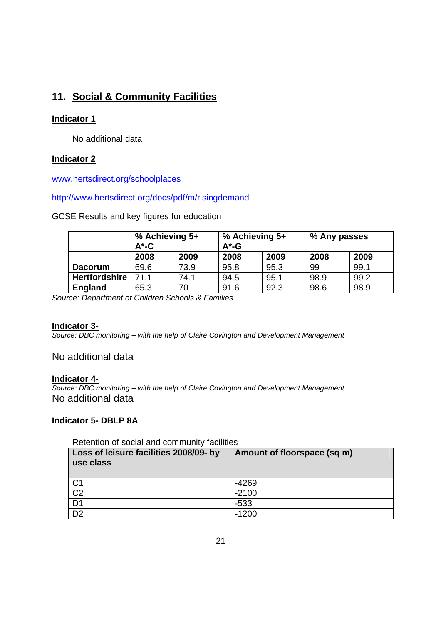## **11. Social & Community Facilities**

#### **Indicator 1**

No additional data

#### **Indicator 2**

www.hertsdirect.org/schoolplaces

http://www.hertsdirect.org/docs/pdf/m/risingdemand

GCSE Results and key figures for education

|                      | % Achieving 5+<br>$A^*$ -C |      | % Achieving 5+<br>$A^*$ -G |      | % Any passes |      |
|----------------------|----------------------------|------|----------------------------|------|--------------|------|
|                      | 2008                       | 2009 | 2008                       | 2009 | 2008         | 2009 |
| <b>Dacorum</b>       | 69.6                       | 73.9 | 95.8                       | 95.3 | 99           | 99.1 |
| <b>Hertfordshire</b> | 71.1                       | 74.1 | 94.5                       | 95.1 | 98.9         | 99.2 |
| England              | 65.3                       | 70   | 91.6                       | 92.3 | 98.6         | 98.9 |

Source: Department of Children Schools & Families

#### **Indicator 3-**

Source: DBC monitoring – with the help of Claire Covington and Development Management

## No additional data

#### **Indicator 4-**

Source: DBC monitoring – with the help of Claire Covington and Development Management No additional data

#### **Indicator 5- DBLP 8A**

| Retention of social and community facilities        |                             |  |  |  |  |  |
|-----------------------------------------------------|-----------------------------|--|--|--|--|--|
| Loss of leisure facilities 2008/09- by<br>use class | Amount of floorspace (sq m) |  |  |  |  |  |
| C <sub>1</sub>                                      | $-4269$                     |  |  |  |  |  |
| $\frac{1}{C2}$                                      | $-2100$                     |  |  |  |  |  |
| $\overline{D1}$                                     | $-533$                      |  |  |  |  |  |
| $\overline{D2}$                                     | $-1200$                     |  |  |  |  |  |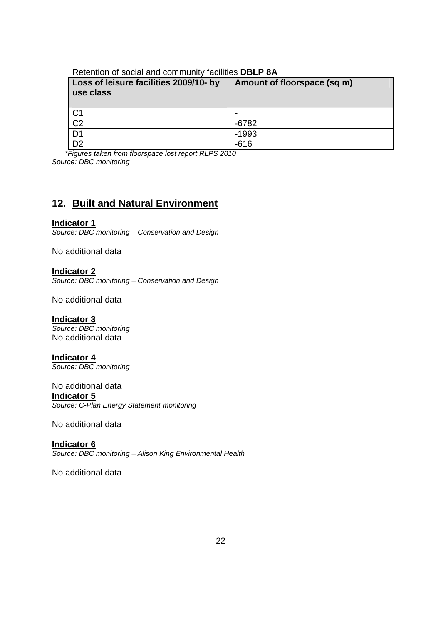| Loss of leisure facilities 2009/10- by<br>use class | Amount of floorspace (sq m) |
|-----------------------------------------------------|-----------------------------|
| C <sub>1</sub>                                      |                             |
| $\overline{C2}$                                     | $-6782$                     |
| $\overline{D1}$                                     | $-1993$                     |
| $\overline{D2}$                                     | $-616$                      |

\*Figures taken from floorspace lost report RLPS 2010 Source: DBC monitoring

## **12. Built and Natural Environment**

#### **Indicator 1**

Source: DBC monitoring – Conservation and Design

No additional data

**Indicator 2** Source: DBC monitoring – Conservation and Design

No additional data

**Indicator 3** Source: DBC monitoring No additional data

**Indicator 4** Source: DBC monitoring

#### No additional data

**Indicator 5**

Source: C-Plan Energy Statement monitoring

No additional data

**Indicator 6** Source: DBC monitoring – Alison King Environmental Health

No additional data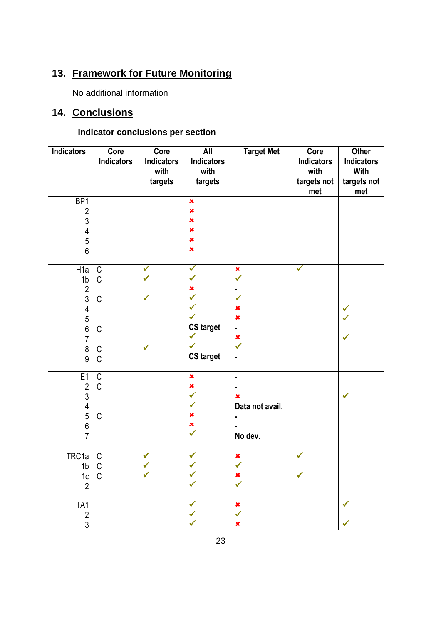# **13. Framework for Future Monitoring**

No additional information

## **14. Conclusions**

## **Indicator conclusions per section**

| <b>Indicators</b>                                                                                                             | Core<br><b>Indicators</b>                                                    | Core<br><b>Indicators</b><br>with<br>targets | <b>All</b><br><b>Indicators</b><br>with<br>targets                                                       | <b>Target Met</b>                                                                                                | Core<br><b>Indicators</b><br>with<br>targets not<br>met | Other<br>Indicators<br><b>With</b><br>targets not<br>met |
|-------------------------------------------------------------------------------------------------------------------------------|------------------------------------------------------------------------------|----------------------------------------------|----------------------------------------------------------------------------------------------------------|------------------------------------------------------------------------------------------------------------------|---------------------------------------------------------|----------------------------------------------------------|
| BP1<br>$\overline{2}$<br>$\sqrt{3}$<br>$\overline{\mathbf{4}}$<br>$\sqrt{5}$<br>$6\phantom{1}$                                |                                                                              |                                              | $\pmb{\times}$<br>$\pmb{\times}$<br>$\pmb{\times}$<br>$\pmb{\times}$<br>$\pmb{\times}$<br>$\pmb{\times}$ |                                                                                                                  |                                                         |                                                          |
| H <sub>1</sub> a<br>1 <sub>b</sub><br>$\frac{2}{3}$<br>$\overline{4}$<br>5<br>6<br>7<br>$\begin{array}{c} 8 \\ 9 \end{array}$ | $\overline{C}$<br>$\mathsf C$<br>$\mathsf C$<br>$\mathsf C$<br>$\frac{C}{C}$ | $\checkmark$<br>$\checkmark$                 | $\checkmark$<br>✓<br>×<br>$\checkmark$<br>✓<br><b>CS target</b><br>✔<br><b>CS target</b>                 | $\pmb{\times}$<br>✓<br>✓<br>$\pmb{\times}$<br>$\pmb{\times}$<br>$\blacksquare$<br>$\pmb{\times}$<br>$\checkmark$ | $\checkmark$                                            | ✔                                                        |
| E <sub>1</sub><br>$\sqrt{2}$<br>$\mathfrak{S}$<br>$\overline{\mathcal{L}}$<br>5<br>$\boldsymbol{6}$<br>$\overline{7}$         | $\mathsf C$<br>$\mathsf C$<br>$\mathsf C$                                    |                                              | $\pmb{\times}$<br>$\pmb{\times}$<br>$\checkmark$<br>✔<br>×<br>×<br>$\checkmark$                          | $\blacksquare$<br>×<br>Data not avail.<br>No dev.                                                                |                                                         | $\checkmark$                                             |
| TRC1a<br>1 <sub>b</sub><br>$\frac{1}{2}$                                                                                      | $\mathsf C$<br>$\mathsf C$<br>$\mathsf C$                                    | ✓                                            | ✔                                                                                                        | $\pmb{\times}$<br>✔                                                                                              | $\checkmark$                                            |                                                          |
| TA1<br>$\frac{2}{3}$                                                                                                          |                                                                              |                                              |                                                                                                          | $\pmb{\times}$<br>×                                                                                              |                                                         | ✔<br>✔                                                   |